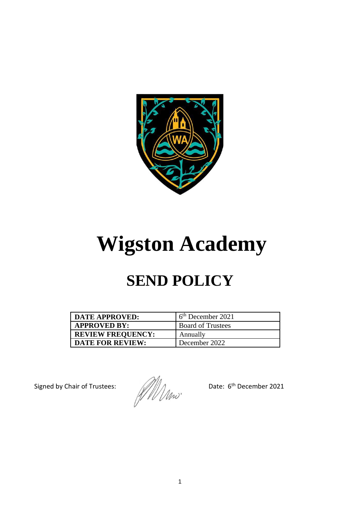

# **Wigston Academy**

# **SEND POLICY**

| <b>DATE APPROVED:</b>    | 6 <sup>th</sup> December 2021 |
|--------------------------|-------------------------------|
| <b>APPROVED BY:</b>      | <b>Board of Trustees</b>      |
| <b>REVIEW FREQUENCY:</b> | Annually                      |
| <b>DATE FOR REVIEW:</b>  | December 2022                 |

Signed by Chair of Trustees: Date: 6<sup>th</sup> December 2021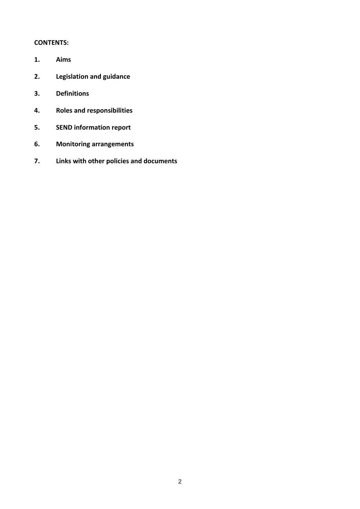# **CONTENTS:**

- **1. Aims**
- **2. Legislation and guidance**
- **3. Definitions**
- **4. Roles and responsibilities**
- **5. SEND information report**
- **6. Monitoring arrangements**
- **7. Links with other policies and documents**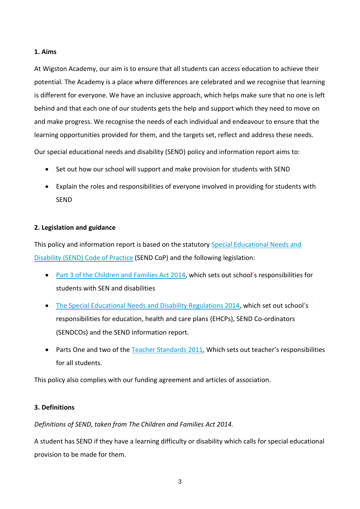### **1. Aims**

At Wigston Academy, our aim is to ensure that all students can access education to achieve their potential. The Academy is a place where differences are celebrated and we recognise that learning is different for everyone. We have an inclusive approach, which helps make sure that no one is left behind and that each one of our students gets the help and support which they need to move on and make progress. We recognise the needs of each individual and endeavour to ensure that the learning opportunities provided for them, and the targets set, reflect and address these needs.

Our special educational needs and disability (SEND) policy and information report aims to:

- Set out how our school will support and make provision for students with SEND
- Explain the roles and responsibilities of everyone involved in providing for students with SEND

# **2. Legislation and guidance**

This policy and information report is based on the statutory [Special Educational Needs and](https://www.gov.uk/government/uploads/system/uploads/attachment_data/file/398815/SEND_Code_of_Practice_January_2015.pdf)  [Disability \(SEND\) Code of Practice](https://www.gov.uk/government/uploads/system/uploads/attachment_data/file/398815/SEND_Code_of_Practice_January_2015.pdf) (SEND CoP) and the following legislation:

- Part 3 of the Children [and Families Act 2014,](http://www.legislation.gov.uk/ukpga/2014/6/part/3) which sets out school's responsibilities for students with SEN and disabilities
- [The Special Educational Needs and Disability Regulations 2014,](http://www.legislation.gov.uk/uksi/2014/1530/contents/made) which set out school's responsibilities for education, health and care plans (EHCPs), SEND Co-ordinators (SENDCOs) and the SEND information report.
- Parts One and two of the [Teacher Standards 2011,](https://assets.publishing.service.gov.uk/government/uploads/system/uploads/attachment_data/file/665520/Teachers__Standards.pdf) Which sets out teacher's responsibilities for all students.

This policy also complies with our funding agreement and articles of association.

# **3. Definitions**

*Definitions of SEND, taken from The Children and Families Act 2014.*

A student has SEND if they have a learning difficulty or disability which calls for special educational provision to be made for them.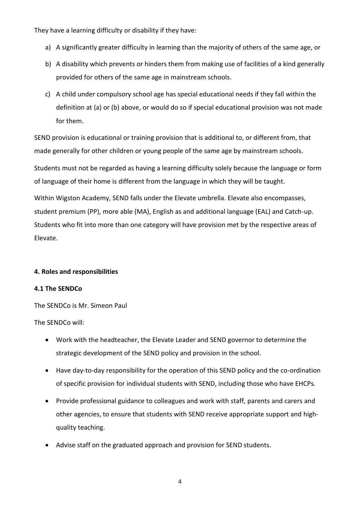They have a learning difficulty or disability if they have:

- a) A significantly greater difficulty in learning than the majority of others of the same age, or
- b) A disability which prevents or hinders them from making use of facilities of a kind generally provided for others of the same age in mainstream schools.
- c) A child under compulsory school age has special educational needs if they fall within the definition at (a) or (b) above, or would do so if special educational provision was not made for them.

SEND provision is educational or training provision that is additional to, or different from, that made generally for other children or young people of the same age by mainstream schools.

Students must not be regarded as having a learning difficulty solely because the language or form of language of their home is different from the language in which they will be taught.

Within Wigston Academy, SEND falls under the Elevate umbrella. Elevate also encompasses, student premium (PP), more able (MA), English as and additional language (EAL) and Catch-up. Students who fit into more than one category will have provision met by the respective areas of Elevate.

# **4. Roles and responsibilities**

# **4.1 The SENDCo**

The SENDCo is Mr. Simeon Paul

The SENDCo will:

- Work with the headteacher, the Elevate Leader and SEND governor to determine the strategic development of the SEND policy and provision in the school.
- Have day-to-day responsibility for the operation of this SEND policy and the co-ordination of specific provision for individual students with SEND, including those who have EHCPs.
- Provide professional guidance to colleagues and work with staff, parents and carers and other agencies, to ensure that students with SEND receive appropriate support and highquality teaching.
- Advise staff on the graduated approach and provision for SEND students.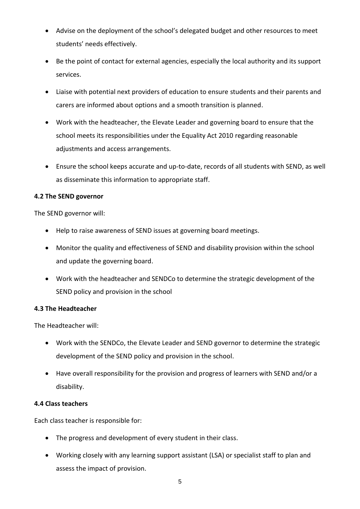- Advise on the deployment of the school's delegated budget and other resources to meet students' needs effectively.
- Be the point of contact for external agencies, especially the local authority and its support services.
- Liaise with potential next providers of education to ensure students and their parents and carers are informed about options and a smooth transition is planned.
- Work with the headteacher, the Elevate Leader and governing board to ensure that the school meets its responsibilities under the Equality Act 2010 regarding reasonable adjustments and access arrangements.
- Ensure the school keeps accurate and up-to-date, records of all students with SEND, as well as disseminate this information to appropriate staff.

# **4.2 The SEND governor**

The SEND governor will:

- Help to raise awareness of SEND issues at governing board meetings.
- Monitor the quality and effectiveness of SEND and disability provision within the school and update the governing board.
- Work with the headteacher and SENDCo to determine the strategic development of the SEND policy and provision in the school

# **4.3 The Headteacher**

The Headteacher will:

- Work with the SENDCo, the Elevate Leader and SEND governor to determine the strategic development of the SEND policy and provision in the school.
- Have overall responsibility for the provision and progress of learners with SEND and/or a disability.

# **4.4 Class teachers**

Each class teacher is responsible for:

- The progress and development of every student in their class.
- Working closely with any learning support assistant (LSA) or specialist staff to plan and assess the impact of provision.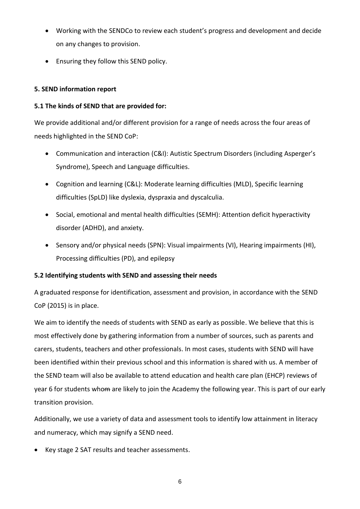- Working with the SENDCo to review each student's progress and development and decide on any changes to provision.
- Ensuring they follow this SEND policy.

# **5. SEND information report**

# **5.1 The kinds of SEND that are provided for:**

We provide additional and/or different provision for a range of needs across the four areas of needs highlighted in the SEND CoP:

- Communication and interaction (C&I): Autistic Spectrum Disorders (including Asperger's Syndrome), Speech and Language difficulties.
- Cognition and learning (C&L): Moderate learning difficulties (MLD), Specific learning difficulties (SpLD) like dyslexia, dyspraxia and dyscalculia.
- Social, emotional and mental health difficulties (SEMH): Attention deficit hyperactivity disorder (ADHD), and anxiety.
- Sensory and/or physical needs (SPN): Visual impairments (VI), Hearing impairments (HI), Processing difficulties (PD), and epilepsy

# **5.2 Identifying students with SEND and assessing their needs**

A graduated response for identification, assessment and provision, in accordance with the SEND CoP (2015) is in place.

We aim to identify the needs of students with SEND as early as possible. We believe that this is most effectively done by gathering information from a number of sources, such as parents and carers, students, teachers and other professionals. In most cases, students with SEND will have been identified within their previous school and this information is shared with us. A member of the SEND team will also be available to attend education and health care plan (EHCP) reviews of year 6 for students whom are likely to join the Academy the following year. This is part of our early transition provision.

Additionally, we use a variety of data and assessment tools to identify low attainment in literacy and numeracy, which may signify a SEND need.

• Key stage 2 SAT results and teacher assessments.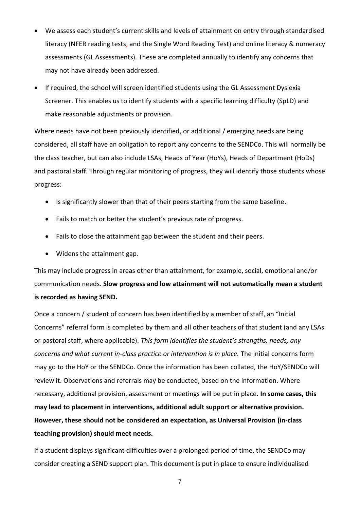- We assess each student's current skills and levels of attainment on entry through standardised literacy (NFER reading tests, and the Single Word Reading Test) and online literacy & numeracy assessments (GL Assessments). These are completed annually to identify any concerns that may not have already been addressed.
- If required, the school will screen identified students using the GL Assessment Dyslexia Screener. This enables us to identify students with a specific learning difficulty (SpLD) and make reasonable adjustments or provision.

Where needs have not been previously identified, or additional / emerging needs are being considered, all staff have an obligation to report any concerns to the SENDCo. This will normally be the class teacher, but can also include LSAs, Heads of Year (HoYs), Heads of Department (HoDs) and pastoral staff. Through regular monitoring of progress, they will identify those students whose progress:

- Is significantly slower than that of their peers starting from the same baseline.
- Fails to match or better the student's previous rate of progress.
- Fails to close the attainment gap between the student and their peers.
- Widens the attainment gap.

This may include progress in areas other than attainment, for example, social, emotional and/or communication needs. **Slow progress and low attainment will not automatically mean a student is recorded as having SEND.** 

Once a concern / student of concern has been identified by a member of staff, an "Initial Concerns" referral form is completed by them and all other teachers of that student (and any LSAs or pastoral staff, where applicable). *This form identifies the student's strengths, needs, any concerns and what current in-class practice or intervention is in place.* The initial concerns form may go to the HoY or the SENDCo. Once the information has been collated, the HoY/SENDCo will review it. Observations and referrals may be conducted, based on the information. Where necessary, additional provision, assessment or meetings will be put in place. **In some cases, this may lead to placement in interventions, additional adult support or alternative provision. However, these should not be considered an expectation, as Universal Provision (in-class teaching provision) should meet needs.** 

If a student displays significant difficulties over a prolonged period of time, the SENDCo may consider creating a SEND support plan. This document is put in place to ensure individualised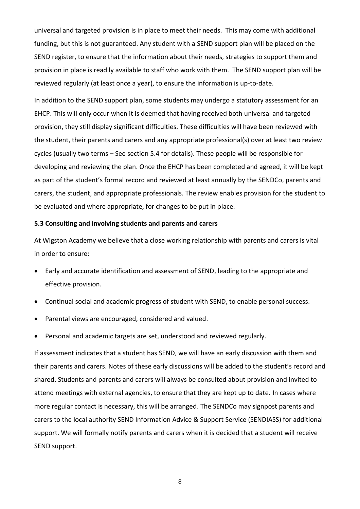universal and targeted provision is in place to meet their needs. This may come with additional funding, but this is not guaranteed. Any student with a SEND support plan will be placed on the SEND register, to ensure that the information about their needs, strategies to support them and provision in place is readily available to staff who work with them. The SEND support plan will be reviewed regularly (at least once a year), to ensure the information is up-to-date.

In addition to the SEND support plan, some students may undergo a statutory assessment for an EHCP. This will only occur when it is deemed that having received both universal and targeted provision, they still display significant difficulties. These difficulties will have been reviewed with the student, their parents and carers and any appropriate professional(s) over at least two review cycles (usually two terms – See section 5.4 for details). These people will be responsible for developing and reviewing the plan. Once the EHCP has been completed and agreed, it will be kept as part of the student's formal record and reviewed at least annually by the SENDCo, parents and carers, the student, and appropriate professionals. The review enables provision for the student to be evaluated and where appropriate, for changes to be put in place.

#### **5.3 Consulting and involving students and parents and carers**

At Wigston Academy we believe that a close working relationship with parents and carers is vital in order to ensure:

- Early and accurate identification and assessment of SEND, leading to the appropriate and effective provision.
- Continual social and academic progress of student with SEND, to enable personal success.
- Parental views are encouraged, considered and valued.
- Personal and academic targets are set, understood and reviewed regularly.

If assessment indicates that a student has SEND, we will have an early discussion with them and their parents and carers. Notes of these early discussions will be added to the student's record and shared. Students and parents and carers will always be consulted about provision and invited to attend meetings with external agencies, to ensure that they are kept up to date. In cases where more regular contact is necessary, this will be arranged. The SENDCo may signpost parents and carers to the local authority SEND Information Advice & Support Service (SENDIASS) for additional support. We will formally notify parents and carers when it is decided that a student will receive SEND support.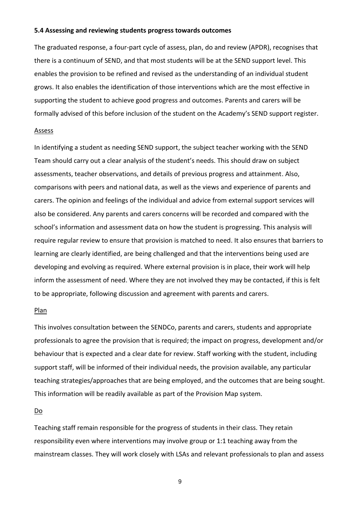#### **5.4 Assessing and reviewing students progress towards outcomes**

The graduated response, a four-part cycle of assess, plan, do and review (APDR), recognises that there is a continuum of SEND, and that most students will be at the SEND support level. This enables the provision to be refined and revised as the understanding of an individual student grows. It also enables the identification of those interventions which are the most effective in supporting the student to achieve good progress and outcomes. Parents and carers will be formally advised of this before inclusion of the student on the Academy's SEND support register.

#### Assess

In identifying a student as needing SEND support, the subject teacher working with the SEND Team should carry out a clear analysis of the student's needs. This should draw on subject assessments, teacher observations, and details of previous progress and attainment. Also, comparisons with peers and national data, as well as the views and experience of parents and carers. The opinion and feelings of the individual and advice from external support services will also be considered. Any parents and carers concerns will be recorded and compared with the school's information and assessment data on how the student is progressing. This analysis will require regular review to ensure that provision is matched to need. It also ensures that barriers to learning are clearly identified, are being challenged and that the interventions being used are developing and evolving as required. Where external provision is in place, their work will help inform the assessment of need. Where they are not involved they may be contacted, if this is felt to be appropriate, following discussion and agreement with parents and carers.

#### Plan

This involves consultation between the SENDCo, parents and carers, students and appropriate professionals to agree the provision that is required; the impact on progress, development and/or behaviour that is expected and a clear date for review. Staff working with the student, including support staff, will be informed of their individual needs, the provision available, any particular teaching strategies/approaches that are being employed, and the outcomes that are being sought. This information will be readily available as part of the Provision Map system.

#### Do

Teaching staff remain responsible for the progress of students in their class. They retain responsibility even where interventions may involve group or 1:1 teaching away from the mainstream classes. They will work closely with LSAs and relevant professionals to plan and assess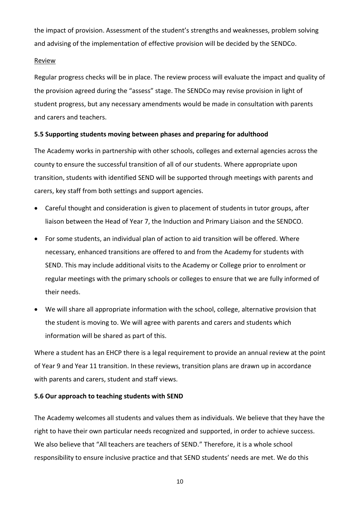the impact of provision. Assessment of the student's strengths and weaknesses, problem solving and advising of the implementation of effective provision will be decided by the SENDCo.

#### Review

Regular progress checks will be in place. The review process will evaluate the impact and quality of the provision agreed during the "assess" stage. The SENDCo may revise provision in light of student progress, but any necessary amendments would be made in consultation with parents and carers and teachers.

# **5.5 Supporting students moving between phases and preparing for adulthood**

The Academy works in partnership with other schools, colleges and external agencies across the county to ensure the successful transition of all of our students. Where appropriate upon transition, students with identified SEND will be supported through meetings with parents and carers, key staff from both settings and support agencies.

- Careful thought and consideration is given to placement of students in tutor groups, after liaison between the Head of Year 7, the Induction and Primary Liaison and the SENDCO.
- For some students, an individual plan of action to aid transition will be offered. Where necessary, enhanced transitions are offered to and from the Academy for students with SEND. This may include additional visits to the Academy or College prior to enrolment or regular meetings with the primary schools or colleges to ensure that we are fully informed of their needs.
- We will share all appropriate information with the school, college, alternative provision that the student is moving to. We will agree with parents and carers and students which information will be shared as part of this.

Where a student has an EHCP there is a legal requirement to provide an annual review at the point of Year 9 and Year 11 transition. In these reviews, transition plans are drawn up in accordance with parents and carers, student and staff views.

# **5.6 Our approach to teaching students with SEND**

The Academy welcomes all students and values them as individuals. We believe that they have the right to have their own particular needs recognized and supported, in order to achieve success. We also believe that "All teachers are teachers of SEND." Therefore, it is a whole school responsibility to ensure inclusive practice and that SEND students' needs are met. We do this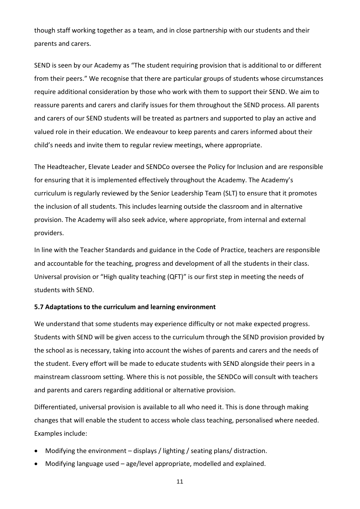though staff working together as a team, and in close partnership with our students and their parents and carers.

SEND is seen by our Academy as "The student requiring provision that is additional to or different from their peers." We recognise that there are particular groups of students whose circumstances require additional consideration by those who work with them to support their SEND. We aim to reassure parents and carers and clarify issues for them throughout the SEND process. All parents and carers of our SEND students will be treated as partners and supported to play an active and valued role in their education. We endeavour to keep parents and carers informed about their child's needs and invite them to regular review meetings, where appropriate.

The Headteacher, Elevate Leader and SENDCo oversee the Policy for Inclusion and are responsible for ensuring that it is implemented effectively throughout the Academy. The Academy's curriculum is regularly reviewed by the Senior Leadership Team (SLT) to ensure that it promotes the inclusion of all students. This includes learning outside the classroom and in alternative provision. The Academy will also seek advice, where appropriate, from internal and external providers.

In line with the Teacher Standards and guidance in the Code of Practice, teachers are responsible and accountable for the teaching, progress and development of all the students in their class. Universal provision or "High quality teaching (QFT)" is our first step in meeting the needs of students with SEND.

#### **5.7 Adaptations to the curriculum and learning environment**

We understand that some students may experience difficulty or not make expected progress. Students with SEND will be given access to the curriculum through the SEND provision provided by the school as is necessary, taking into account the wishes of parents and carers and the needs of the student. Every effort will be made to educate students with SEND alongside their peers in a mainstream classroom setting. Where this is not possible, the SENDCo will consult with teachers and parents and carers regarding additional or alternative provision.

Differentiated, universal provision is available to all who need it. This is done through making changes that will enable the student to access whole class teaching, personalised where needed. Examples include:

- Modifying the environment displays / lighting / seating plans/ distraction.
- Modifying language used age/level appropriate, modelled and explained.
	- 11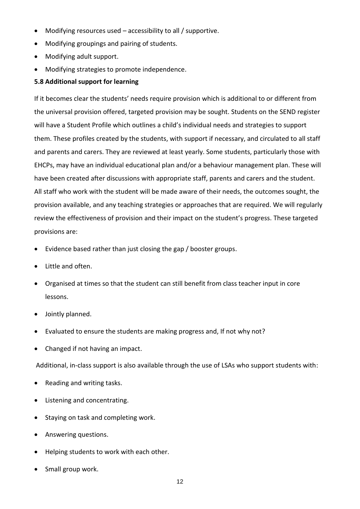- Modifying resources used accessibility to all / supportive.
- Modifying groupings and pairing of students.
- Modifying adult support.
- Modifying strategies to promote independence.

# **5.8 Additional support for learning**

If it becomes clear the students' needs require provision which is additional to or different from the universal provision offered, targeted provision may be sought. Students on the SEND register will have a Student Profile which outlines a child's individual needs and strategies to support them. These profiles created by the students, with support if necessary, and circulated to all staff and parents and carers. They are reviewed at least yearly. Some students, particularly those with EHCPs, may have an individual educational plan and/or a behaviour management plan. These will have been created after discussions with appropriate staff, parents and carers and the student. All staff who work with the student will be made aware of their needs, the outcomes sought, the provision available, and any teaching strategies or approaches that are required. We will regularly review the effectiveness of provision and their impact on the student's progress. These targeted provisions are:

- Evidence based rather than just closing the gap / booster groups.
- Little and often.
- Organised at times so that the student can still benefit from class teacher input in core lessons.
- Jointly planned.
- Evaluated to ensure the students are making progress and, If not why not?
- Changed if not having an impact.

Additional, in-class support is also available through the use of LSAs who support students with:

- Reading and writing tasks.
- Listening and concentrating.
- Staying on task and completing work.
- Answering questions.
- Helping students to work with each other.
- Small group work.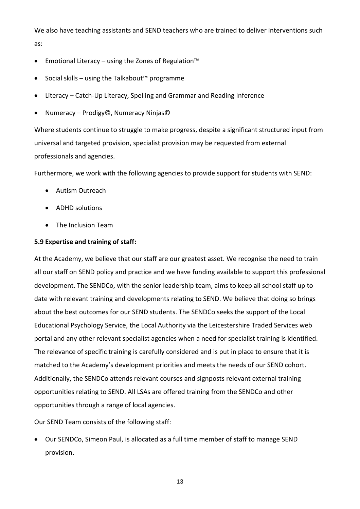We also have teaching assistants and SEND teachers who are trained to deliver interventions such as:

- Emotional Literacy using the Zones of Regulation™
- Social skills using the Talkabout™ programme
- Literacy Catch-Up Literacy, Spelling and Grammar and Reading Inference
- Numeracy Prodigy©, Numeracy Ninjas©

Where students continue to struggle to make progress, despite a significant structured input from universal and targeted provision, specialist provision may be requested from external professionals and agencies.

Furthermore, we work with the following agencies to provide support for students with SEND:

- Autism Outreach
- ADHD solutions
- The Inclusion Team

# **5.9 Expertise and training of staff:**

At the Academy, we believe that our staff are our greatest asset. We recognise the need to train all our staff on SEND policy and practice and we have funding available to support this professional development. The SENDCo, with the senior leadership team, aims to keep all school staff up to date with relevant training and developments relating to SEND. We believe that doing so brings about the best outcomes for our SEND students. The SENDCo seeks the support of the Local Educational Psychology Service, the Local Authority via the Leicestershire Traded Services web portal and any other relevant specialist agencies when a need for specialist training is identified. The relevance of specific training is carefully considered and is put in place to ensure that it is matched to the Academy's development priorities and meets the needs of our SEND cohort. Additionally, the SENDCo attends relevant courses and signposts relevant external training opportunities relating to SEND. All LSAs are offered training from the SENDCo and other opportunities through a range of local agencies.

Our SEND Team consists of the following staff:

• Our SENDCo, Simeon Paul, is allocated as a full time member of staff to manage SEND provision.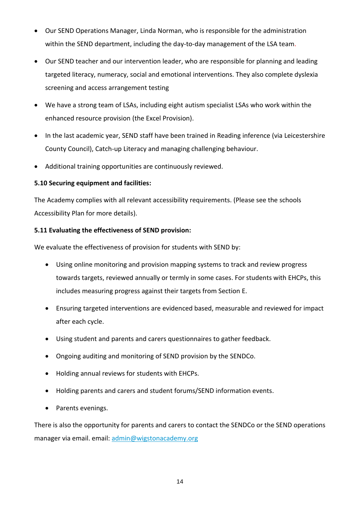- Our SEND Operations Manager, Linda Norman, who is responsible for the administration within the SEND department, including the day-to-day management of the LSA team.
- Our SEND teacher and our intervention leader, who are responsible for planning and leading targeted literacy, numeracy, social and emotional interventions. They also complete dyslexia screening and access arrangement testing
- We have a strong team of LSAs, including eight autism specialist LSAs who work within the enhanced resource provision (the Excel Provision).
- In the last academic year, SEND staff have been trained in Reading inference (via Leicestershire County Council), Catch-up Literacy and managing challenging behaviour.
- Additional training opportunities are continuously reviewed.

# **5.10 Securing equipment and facilities:**

The Academy complies with all relevant accessibility requirements. (Please see the schools Accessibility Plan for more details).

# **5.11 Evaluating the effectiveness of SEND provision:**

We evaluate the effectiveness of provision for students with SEND by:

- Using online monitoring and provision mapping systems to track and review progress towards targets, reviewed annually or termly in some cases. For students with EHCPs, this includes measuring progress against their targets from Section E.
- Ensuring targeted interventions are evidenced based, measurable and reviewed for impact after each cycle.
- Using student and parents and carers questionnaires to gather feedback.
- Ongoing auditing and monitoring of SEND provision by the SENDCo.
- Holding annual reviews for students with EHCPs.
- Holding parents and carers and student forums/SEND information events.
- Parents evenings.

There is also the opportunity for parents and carers to contact the SENDCo or the SEND operations manager via email. email: [admin@wigstonacademy.org](mailto:admin@wigstonacademy.org)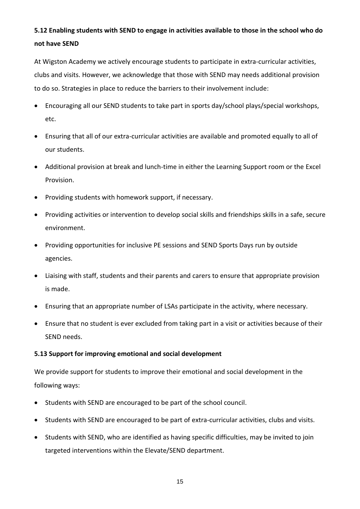# **5.12 Enabling students with SEND to engage in activities available to those in the school who do not have SEND**

At Wigston Academy we actively encourage students to participate in extra-curricular activities, clubs and visits. However, we acknowledge that those with SEND may needs additional provision to do so. Strategies in place to reduce the barriers to their involvement include:

- Encouraging all our SEND students to take part in sports day/school plays/special workshops, etc.
- Ensuring that all of our extra-curricular activities are available and promoted equally to all of our students.
- Additional provision at break and lunch-time in either the Learning Support room or the Excel Provision.
- Providing students with homework support, if necessary.
- Providing activities or intervention to develop social skills and friendships skills in a safe, secure environment.
- Providing opportunities for inclusive PE sessions and SEND Sports Days run by outside agencies.
- Liaising with staff, students and their parents and carers to ensure that appropriate provision is made.
- Ensuring that an appropriate number of LSAs participate in the activity, where necessary.
- Ensure that no student is ever excluded from taking part in a visit or activities because of their SEND needs.

# **5.13 Support for improving emotional and social development**

We provide support for students to improve their emotional and social development in the following ways:

- Students with SEND are encouraged to be part of the school council.
- Students with SEND are encouraged to be part of extra-curricular activities, clubs and visits.
- Students with SEND, who are identified as having specific difficulties, may be invited to join targeted interventions within the Elevate/SEND department.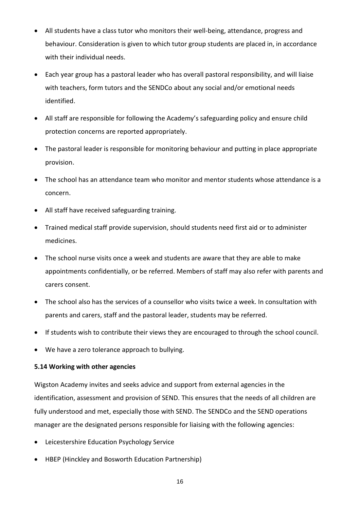- All students have a class tutor who monitors their well-being, attendance, progress and behaviour. Consideration is given to which tutor group students are placed in, in accordance with their individual needs.
- Each year group has a pastoral leader who has overall pastoral responsibility, and will liaise with teachers, form tutors and the SENDCo about any social and/or emotional needs identified.
- All staff are responsible for following the Academy's safeguarding policy and ensure child protection concerns are reported appropriately.
- The pastoral leader is responsible for monitoring behaviour and putting in place appropriate provision.
- The school has an attendance team who monitor and mentor students whose attendance is a concern.
- All staff have received safeguarding training.
- Trained medical staff provide supervision, should students need first aid or to administer medicines.
- The school nurse visits once a week and students are aware that they are able to make appointments confidentially, or be referred. Members of staff may also refer with parents and carers consent.
- The school also has the services of a counsellor who visits twice a week. In consultation with parents and carers, staff and the pastoral leader, students may be referred.
- If students wish to contribute their views they are encouraged to through the school council.
- We have a zero tolerance approach to bullying.

#### **5.14 Working with other agencies**

Wigston Academy invites and seeks advice and support from external agencies in the identification, assessment and provision of SEND. This ensures that the needs of all children are fully understood and met, especially those with SEND. The SENDCo and the SEND operations manager are the designated persons responsible for liaising with the following agencies:

- Leicestershire Education Psychology Service
- HBEP (Hinckley and Bosworth Education Partnership)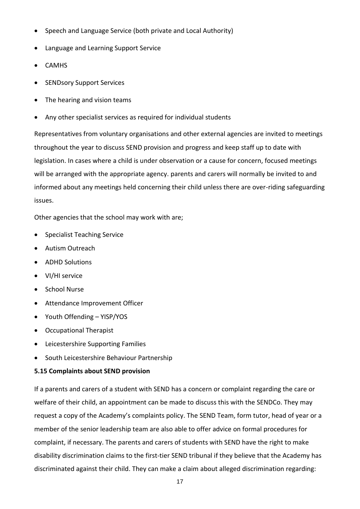- Speech and Language Service (both private and Local Authority)
- Language and Learning Support Service
- CAMHS
- SENDsory Support Services
- The hearing and vision teams
- Any other specialist services as required for individual students

Representatives from voluntary organisations and other external agencies are invited to meetings throughout the year to discuss SEND provision and progress and keep staff up to date with legislation. In cases where a child is under observation or a cause for concern, focused meetings will be arranged with the appropriate agency. parents and carers will normally be invited to and informed about any meetings held concerning their child unless there are over-riding safeguarding issues.

Other agencies that the school may work with are;

- Specialist Teaching Service
- Autism Outreach
- ADHD Solutions
- VI/HI service
- School Nurse
- Attendance Improvement Officer
- Youth Offending YISP/YOS
- Occupational Therapist
- Leicestershire Supporting Families
- South Leicestershire Behaviour Partnership

#### **5.15 Complaints about SEND provision**

If a parents and carers of a student with SEND has a concern or complaint regarding the care or welfare of their child, an appointment can be made to discuss this with the SENDCo. They may request a copy of the Academy's complaints policy. The SEND Team, form tutor, head of year or a member of the senior leadership team are also able to offer advice on formal procedures for complaint, if necessary. The parents and carers of students with SEND have the right to make disability discrimination claims to the first-tier SEND tribunal if they believe that the Academy has discriminated against their child. They can make a claim about alleged discrimination regarding: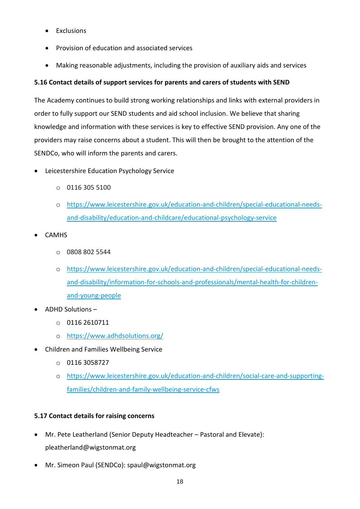- Exclusions
- Provision of education and associated services
- Making reasonable adjustments, including the provision of auxiliary aids and services

# **5.16 Contact details of support services for parents and carers of students with SEND**

The Academy continues to build strong working relationships and links with external providers in order to fully support our SEND students and aid school inclusion. We believe that sharing knowledge and information with these services is key to effective SEND provision. Any one of the providers may raise concerns about a student. This will then be brought to the attention of the SENDCo, who will inform the parents and carers.

- Leicestershire Education Psychology Service
	- o 0116 305 5100
	- o [https://www.leicestershire.gov.uk/education-and-children/special-educational-needs](https://www.leicestershire.gov.uk/education-and-children/special-educational-needs-and-disability/education-and-childcare/educational-psychology-service)[and-disability/education-and-childcare/educational-psychology-service](https://www.leicestershire.gov.uk/education-and-children/special-educational-needs-and-disability/education-and-childcare/educational-psychology-service)
- **CAMHS** 
	- o 0808 802 5544
	- o [https://www.leicestershire.gov.uk/education-and-children/special-educational-needs](https://www.leicestershire.gov.uk/education-and-children/special-educational-needs-and-disability/information-for-schools-and-professionals/mental-health-for-children-and-young-people)[and-disability/information-for-schools-and-professionals/mental-health-for-children](https://www.leicestershire.gov.uk/education-and-children/special-educational-needs-and-disability/information-for-schools-and-professionals/mental-health-for-children-and-young-people)[and-young-people](https://www.leicestershire.gov.uk/education-and-children/special-educational-needs-and-disability/information-for-schools-and-professionals/mental-health-for-children-and-young-people)
- ADHD Solutions
	- $O$  0116 2610711
	- o <https://www.adhdsolutions.org/>
- Children and Families Wellbeing Service
	- o 0116 3058727
	- o [https://www.leicestershire.gov.uk/education-and-children/social-care-and-supporting](https://www.leicestershire.gov.uk/education-and-children/social-care-and-supporting-families/children-and-family-wellbeing-service-cfws)[families/children-and-family-wellbeing-service-cfws](https://www.leicestershire.gov.uk/education-and-children/social-care-and-supporting-families/children-and-family-wellbeing-service-cfws)

# **5.17 Contact details for raising concerns**

- Mr. Pete Leatherland (Senior Deputy Headteacher Pastoral and Elevate): pleatherland@wigstonmat.org
- Mr. Simeon Paul (SENDCo): spaul@wigstonmat.org